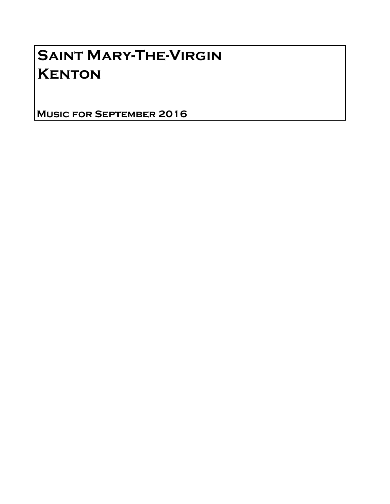# Saint Mary-The-Virgin **KENTON**

Music for September 2016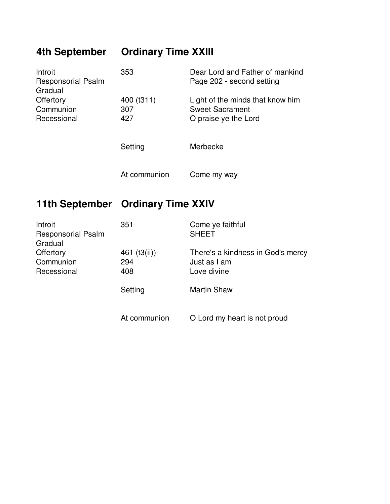## **4th September Ordinary Time XXIII**

| Introit<br><b>Responsorial Psalm</b><br>Gradual | 353               | Dear Lord and Father of mankind<br>Page 202 - second setting |
|-------------------------------------------------|-------------------|--------------------------------------------------------------|
| Offertory<br>Communion                          | 400 (t311)<br>307 | Light of the minds that know him<br><b>Sweet Sacrament</b>   |
| Recessional                                     | 427               | O praise ye the Lord                                         |
|                                                 | Setting           | Merbecke                                                     |
|                                                 |                   |                                                              |

At communion Come my way

#### **11th September Ordinary Time XXIV**

| Introit<br><b>Responsorial Psalm</b><br>Gradual | 351          | Come ye faithful<br><b>SHEET</b>  |
|-------------------------------------------------|--------------|-----------------------------------|
| Offertory                                       | 461 (t3(ii)) | There's a kindness in God's mercy |
| Communion                                       | 294          | Just as I am                      |
| Recessional                                     | 408          | Love divine                       |
|                                                 | Setting      | <b>Martin Shaw</b>                |
|                                                 | At communion | O Lord my heart is not proud      |